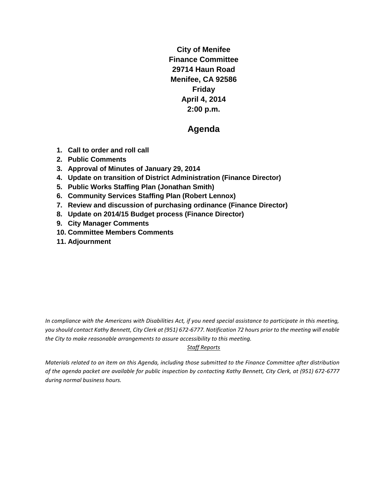**City of Menifee Finance Committee 29714 Haun Road Menifee, CA 92586 Friday April 4, 2014 2:00 p.m.**

## **Agenda**

- **1. Call to order and roll call**
- **2. Public Comments**
- **3. Approval of Minutes of January 29, 2014**
- **4. Update on transition of District Administration (Finance Director)**
- **5. Public Works Staffing Plan (Jonathan Smith)**
- **6. Community Services Staffing Plan (Robert Lennox)**
- **7. Review and discussion of purchasing ordinance (Finance Director)**
- **8. Update on 2014/15 Budget process (Finance Director)**
- **9. City Manager Comments**
- **10. Committee Members Comments**
- **11. Adjournment**

*In compliance with the Americans with Disabilities Act, if you need special assistance to participate in this meeting, you should contact Kathy Bennett, City Clerk at (951) 672-6777. Notification 72 hours prior to the meeting will enable the City to make reasonable arrangements to assure accessibility to this meeting.* 

#### *Staff Reports*

*Materials related to an item on this Agenda, including those submitted to the Finance Committee after distribution of the agenda packet are available for public inspection by contacting Kathy Bennett, City Clerk, at (951) 672-6777 during normal business hours.*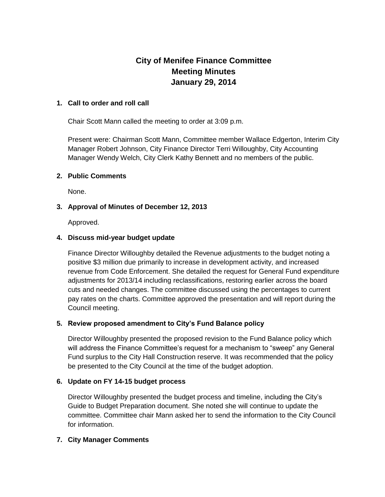# **City of Menifee Finance Committee Meeting Minutes January 29, 2014**

#### **1. Call to order and roll call**

Chair Scott Mann called the meeting to order at 3:09 p.m.

Present were: Chairman Scott Mann, Committee member Wallace Edgerton, Interim City Manager Robert Johnson, City Finance Director Terri Willoughby, City Accounting Manager Wendy Welch, City Clerk Kathy Bennett and no members of the public.

#### **2. Public Comments**

None.

#### **3. Approval of Minutes of December 12, 2013**

Approved.

#### **4. Discuss mid-year budget update**

Finance Director Willoughby detailed the Revenue adjustments to the budget noting a positive \$3 million due primarily to increase in development activity, and increased revenue from Code Enforcement. She detailed the request for General Fund expenditure adjustments for 2013/14 including reclassifications, restoring earlier across the board cuts and needed changes. The committee discussed using the percentages to current pay rates on the charts. Committee approved the presentation and will report during the Council meeting.

#### **5. Review proposed amendment to City's Fund Balance policy**

Director Willoughby presented the proposed revision to the Fund Balance policy which will address the Finance Committee's request for a mechanism to "sweep" any General Fund surplus to the City Hall Construction reserve. It was recommended that the policy be presented to the City Council at the time of the budget adoption.

#### **6. Update on FY 14-15 budget process**

Director Willoughby presented the budget process and timeline, including the City's Guide to Budget Preparation document. She noted she will continue to update the committee. Committee chair Mann asked her to send the information to the City Council for information.

#### **7. City Manager Comments**